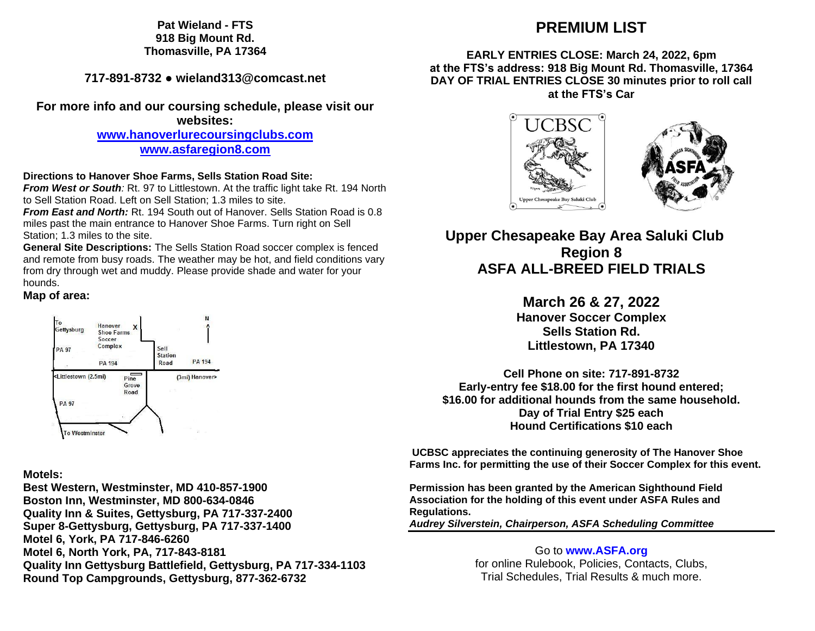**Pat Wieland - FTS 918 Big Mount Rd. Thomasville, PA 17364**

**717-891-8732 ● wieland313@comcast.net**

**For more info and our coursing schedule, please visit our websites:**

**[www.hanoverlurecoursingclubs.com](http://www.hanoverlurecoursingclubs.com/)**

**[www.asfaregion8.com](http://www.asfaregion8.com/)**

## **Directions to Hanover Shoe Farms, Sells Station Road Site:**

*From West or South:* Rt. 97 to Littlestown. At the traffic light take Rt. 194 North to Sell Station Road. Left on Sell Station; 1.3 miles to site.

*From East and North:* Rt. 194 South out of Hanover. Sells Station Road is 0.8 miles past the main entrance to Hanover Shoe Farms. Turn right on Sell Station; 1.3 miles to the site.

**General Site Descriptions:** The Sells Station Road soccer complex is fenced and remote from busy roads. The weather may be hot, and field conditions vary from dry through wet and muddy. Please provide shade and water for your hounds.

# **Map of area:**



# **Motels:**

**Best Western, Westminster, MD 410-857-1900 Boston Inn, Westminster, MD 800-634-0846 Quality Inn & Suites, Gettysburg, PA 717-337-2400 Super 8-Gettysburg, Gettysburg, PA 717-337-1400 Motel 6, York, PA 717-846-6260 Motel 6, North York, PA, 717-843-8181 Quality Inn Gettysburg Battlefield, Gettysburg, PA 717-334-1103 Round Top Campgrounds, Gettysburg, 877-362-6732**

# **PREMIUM LIST**

# **EARLY ENTRIES CLOSE: March 24, 2022, 6pm at the FTS's address: 918 Big Mount Rd. Thomasville, 17364 DAY OF TRIAL ENTRIES CLOSE 30 minutes prior to roll call at the FTS's Car**



# **Upper Chesapeake Bay Area Saluki Club Region 8 ASFA ALL-BREED FIELD TRIALS**

# **March 26 & 27, 2022 Hanover Soccer Complex Sells Station Rd.**

**Littlestown, PA 17340**

**Cell Phone on site: 717-891-8732 Early-entry fee \$18.00 for the first hound entered; \$16.00 for additional hounds from the same household. Day of Trial Entry \$25 each Hound Certifications \$10 each**

**UCBSC appreciates the continuing generosity of The Hanover Shoe Farms Inc. for permitting the use of their Soccer Complex for this event.**

**Permission has been granted by the American Sighthound Field Association for the holding of this event under ASFA Rules and Regulations.**

*Audrey Silverstein, Chairperson, ASFA Scheduling Committee*

Go to **[www.ASFA.org](http://www.asfa.org/)** for online Rulebook, Policies, Contacts, Clubs, Trial Schedules, Trial Results & much more.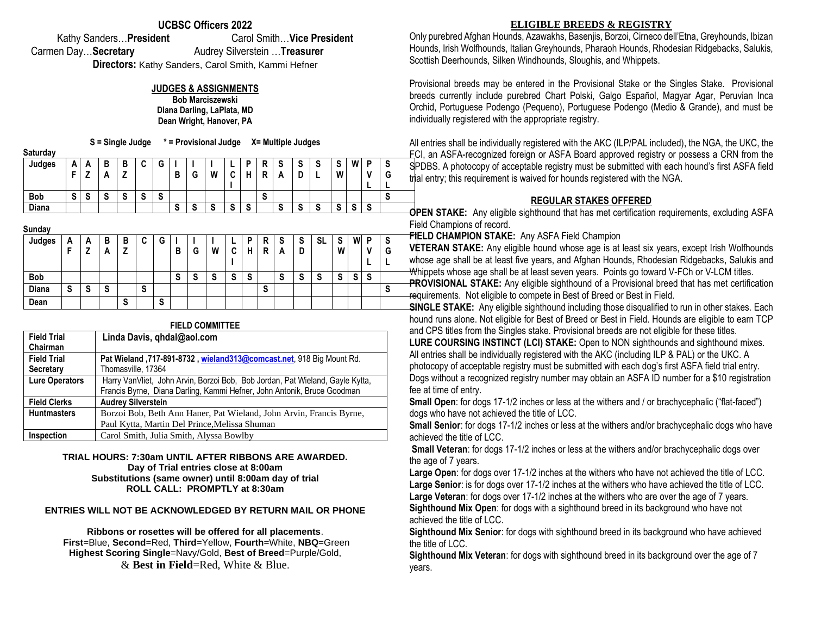## **UCBSC Officers 2022**

Kathy Sanders…**President** Carol Smith…**Vice President** Carmen Day…**Secretary** Audrey Silverstein …**Treasurer**

**Directors:** Kathy Sanders, Carol Smith, Kammi Hefner

## **JUDGES & ASSIGNMENTS**

**Bob Marciszewski Diana Darling, LaPlata, MD Dean Wright, Hanover, PA**

**S = Single Judge \* = Provisional Judge X= Multiple Judges**

| Saturday   |                |          |        |        |        |   |                |         |                           |                 |   |   |                           |        |          |                           |                         |                 |         |  |
|------------|----------------|----------|--------|--------|--------|---|----------------|---------|---------------------------|-----------------|---|---|---------------------------|--------|----------|---------------------------|-------------------------|-----------------|---------|--|
| Judges     | Δ<br>n         | <u>r</u> | в      | в      | ື      | G |                |         |                           | -               | D | R | v                         | ~<br>v | -        | e                         | W                       | D               | S       |  |
|            | -              |          | r.     | -      |        |   | B              | G       | W                         | ◠<br>u          | ц | R | n                         | ı      |          | W                         |                         |                 | G       |  |
|            |                |          |        |        |        |   |                |         |                           |                 |   |   |                           |        |          |                           |                         | -               |         |  |
| <b>Bob</b> | $\bullet$<br>o | -<br>v   | ົ<br>v | ີ<br>o | -<br>o | S |                |         |                           |                 |   | S |                           |        |          |                           |                         |                 | -<br>×. |  |
| Diana      |                |          |        |        |        |   | $\bullet$<br>o | ົ<br>-3 | $\ddot{\phantom{1}}$<br>× | $\epsilon$<br>o | S |   | $\ddot{\phantom{1}}$<br>◡ | ີ<br>o | -<br>- 7 | $\ddot{\phantom{1}}$<br>× | $\mathbf{\hat{c}}$<br>◡ | $\epsilon$<br>ø |         |  |

| <u>sanaa,</u> |        |        |   |        |        |   |   |   |        |        |   |   |   |                   |        |        |   |   |   |
|---------------|--------|--------|---|--------|--------|---|---|---|--------|--------|---|---|---|-------------------|--------|--------|---|---|---|
| Judges        | A      | A      | в | в      | -<br>ື | G |   |   |        | −      | D | R | S | S                 | SL     | S      | W | D | o |
|               | c      | 7<br>- | A | 7<br>- |        |   | в | G | W      | ◠<br>u | н | R | A | D                 |        | W      |   |   | G |
|               |        |        |   |        |        |   |   |   |        |        |   |   |   |                   |        |        |   |   |   |
| <b>Bob</b>    |        |        |   |        |        |   | S | S | -<br>c | c<br>o | S |   | S | $\mathbf{C}$<br>় | e<br>э | e<br>ø | v | S |   |
| Diana         | e<br>ა | S      | S |        | S      |   |   |   |        |        |   | S |   |                   |        |        |   |   | o |
| Dean          |        |        |   | S      |        | S |   |   |        |        |   |   |   |                   |        |        |   |   |   |
|               |        |        |   |        |        |   |   |   |        |        |   |   |   |                   |        |        |   |   |   |

# **FIELD COMMITTEE**

| <b>Field Trial</b>    | Linda Davis, ghdal@aol.com                                                    |
|-----------------------|-------------------------------------------------------------------------------|
| Chairman              |                                                                               |
| <b>Field Trial</b>    | Pat Wieland, 717-891-8732, wieland313@comcast.net, 918 Big Mount Rd.          |
| <b>Secretary</b>      | Thomasville, 17364                                                            |
| <b>Lure Operators</b> | Harry VanVliet, John Arvin, Borzoi Bob, Bob Jordan, Pat Wieland, Gayle Kytta, |
|                       | Francis Byrne, Diana Darling, Kammi Hefner, John Antonik, Bruce Goodman       |
| <b>Field Clerks</b>   | <b>Audrey Silverstein</b>                                                     |
| <b>Huntmasters</b>    | Borzoi Bob, Beth Ann Haner, Pat Wieland, John Arvin, Francis Byrne,           |
|                       | Paul Kytta, Martin Del Prince, Melissa Shuman                                 |
| Inspection            | Carol Smith, Julia Smith, Alyssa Bowlby                                       |

### **TRIAL HOURS: 7:30am UNTIL AFTER RIBBONS ARE AWARDED. Day of Trial entries close at 8:00am Substitutions (same owner) until 8:00am day of trial ROLL CALL: PROMPTLY at 8:30am**

### **ENTRIES WILL NOT BE ACKNOWLEDGED BY RETURN MAIL OR PHONE**

**Ribbons or rosettes will be offered for all placements**. **First**=Blue, **Second**=Red, **Third**=Yellow, **Fourth**=White, **NBQ**=Green **Highest Scoring Single**=Navy/Gold, **Best of Breed**=Purple/Gold, & **Best in Field**=Red, White & Blue.

## **ELIGIBLE BREEDS & REGISTRY**

Only purebred Afghan Hounds, Azawakhs, Basenjis, Borzoi, Cirneco dell'Etna, Greyhounds, Ibizan Hounds, Irish Wolfhounds, Italian Greyhounds, Pharaoh Hounds, Rhodesian Ridgebacks, Salukis, Scottish Deerhounds, Silken Windhounds, Sloughis, and Whippets.

Provisional breeds may be entered in the Provisional Stake or the Singles Stake. Provisional breeds currently include purebred Chart Polski, Galgo Español, Magyar Agar, Peruvian Inca Orchid, Portuguese Podengo (Pequeno), Portuguese Podengo (Medio & Grande), and must be individually registered with the appropriate registry.

All entries shall be individually registered with the AKC (ILP/PAL included), the NGA, the UKC, the FCI, an ASFA-recognized foreign or ASFA Board approved registry or possess a CRN from the SPDBS. A photocopy of acceptable registry must be submitted with each hound's first ASFA field rial entry; this requirement is waived for hounds registered with the NGA.

## **REGULAR STAKES OFFERED**

**OPEN STAKE:** Any eligible sighthound that has met certification requirements, excluding ASFA Field Champions of record.

**FIELD CHAMPION STAKE:** Any ASFA Field Champion

**VETERAN STAKE:** Any eligible hound whose age is at least six years, except Irish Wolfhounds whose age shall be at least five years, and Afghan Hounds, Rhodesian Ridgebacks, Salukis and Whippets whose age shall be at least seven years. Points go toward V-FCh or V-LCM titles.

**PROVISIONAL STAKE:** Any eligible sighthound of a Provisional breed that has met certification requirements. Not eligible to compete in Best of Breed or Best in Field.

**SINGLE STAKE:** Any eligible sighthound including those disqualified to run in other stakes. Each hound runs alone. Not eligible for Best of Breed or Best in Field. Hounds are eligible to earn TCP and CPS titles from the Singles stake. Provisional breeds are not eligible for these titles.

**LURE COURSING INSTINCT (LCI) STAKE:** Open to NON sighthounds and sighthound mixes. All entries shall be individually registered with the AKC (including ILP & PAL) or the UKC. A photocopy of acceptable registry must be submitted with each dog's first ASFA field trial entry. Dogs without a recognized registry number may obtain an ASFA ID number for a \$10 registration fee at time of entry.

**Small Open**: for dogs 17-1/2 inches or less at the withers and / or brachycephalic ("flat-faced") dogs who have not achieved the title of LCC.

**Small Senior**: for dogs 17-1/2 inches or less at the withers and/or brachycephalic dogs who have achieved the title of LCC.

**Small Veteran**: for dogs 17-1/2 inches or less at the withers and/or brachycephalic dogs over the age of 7 years.

**Large Open**: for dogs over 17-1/2 inches at the withers who have not achieved the title of LCC. **Large Senior**: is for dogs over 17-1/2 inches at the withers who have achieved the title of LCC. **Large Veteran**: for dogs over 17-1/2 inches at the withers who are over the age of 7 years. **Sighthound Mix Open**: for dogs with a sighthound breed in its background who have not achieved the title of LCC.

**Sighthound Mix Senior**: for dogs with sighthound breed in its background who have achieved the title of LCC.

**Sighthound Mix Veteran**: for dogs with sighthound breed in its background over the age of 7 years.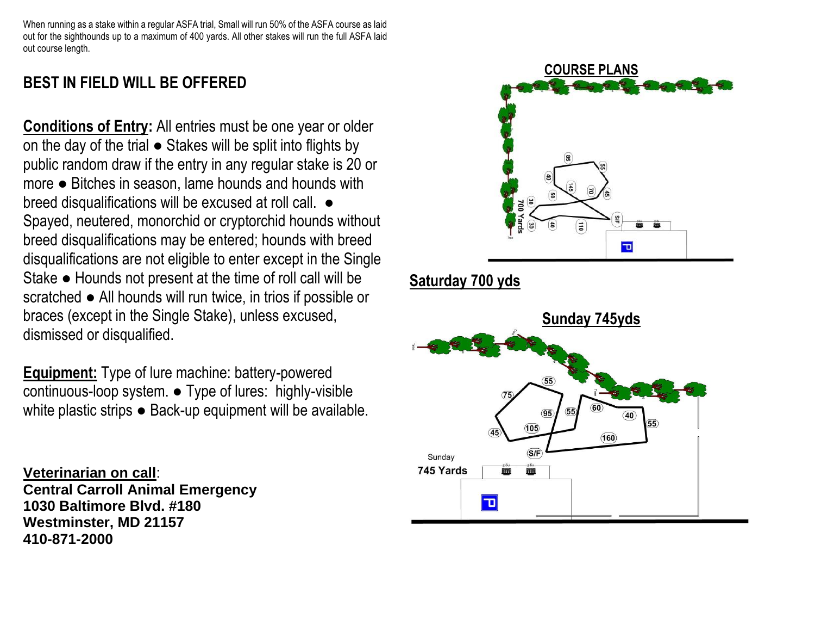When running as a stake within a regular ASFA trial, Small will run 50% of the ASFA course as laid out for the sighthounds up to a maximum of 400 yards. All other stakes will run the full ASFA laid out course length.

# **BEST IN FIELD WILL BE OFFERED**

**Conditions of Entry:** All entries must be one year or older on the day of the trial ● Stakes will be split into flights by public random draw if the entry in any regular stake is 20 or more ● Bitches in season, lame hounds and hounds with breed disqualifications will be excused at roll call.  $\bullet$ Spayed, neutered, monorchid or cryptorchid hounds without breed disqualifications may be entered; hounds with breed disqualifications are not eligible to enter except in the Single Stake ● Hounds not present at the time of roll call will be scratched ● All hounds will run twice, in trios if possible or braces (except in the Single Stake), unless excused, dismissed or disqualified.

**Equipment:** Type of lure machine: battery-powered continuous-loop system. ● Type of lures: highly-visible white plastic strips ● Back-up equipment will be available.

**Veterinarian on call**: **Central Carroll Animal Emergency 1030 Baltimore Blvd. #180 Westminster, MD 21157 410-871-2000**



# **Saturday 700 yds**

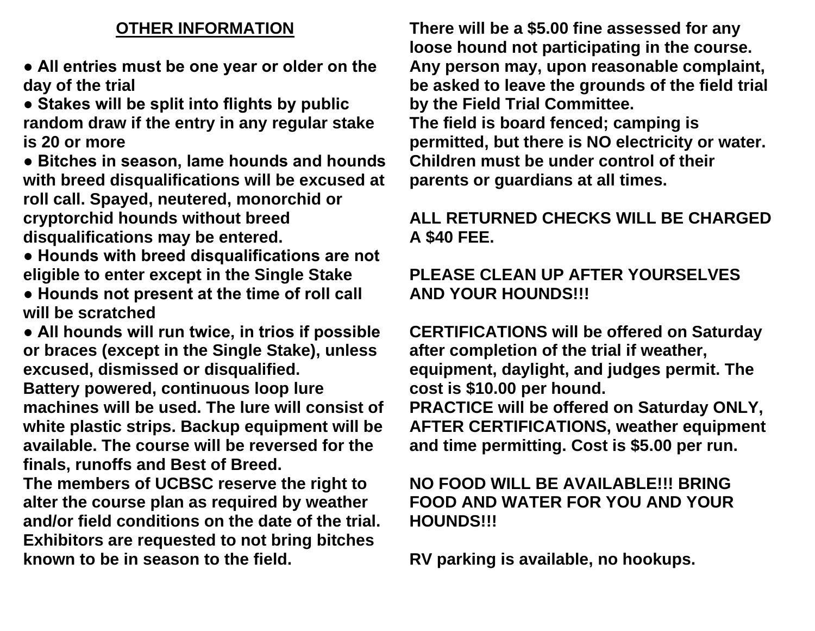# **OTHER INFORMATION**

**● All entries must be one year or older on the day of the trial** 

**● Stakes will be split into flights by public random draw if the entry in any regular stake is 20 or more** 

**● Bitches in season, lame hounds and hounds with breed disqualifications will be excused at roll call. Spayed, neutered, monorchid or cryptorchid hounds without breed disqualifications may be entered.** 

- **Hounds with breed disqualifications are not eligible to enter except in the Single Stake**
- **Hounds not present at the time of roll call will be scratched**

**● All hounds will run twice, in trios if possible or braces (except in the Single Stake), unless excused, dismissed or disqualified. Battery powered, continuous loop lure machines will be used. The lure will consist of white plastic strips. Backup equipment will be available. The course will be reversed for the finals, runoffs and Best of Breed.** 

**The members of UCBSC reserve the right to alter the course plan as required by weather and/or field conditions on the date of the trial. Exhibitors are requested to not bring bitches known to be in season to the field.** 

**There will be a \$5.00 fine assessed for any loose hound not participating in the course. Any person may, upon reasonable complaint, be asked to leave the grounds of the field trial by the Field Trial Committee. The field is board fenced; camping is permitted, but there is NO electricity or water. Children must be under control of their parents or guardians at all times.** 

# **ALL RETURNED CHECKS WILL BE CHARGED A \$40 FEE.**

# **PLEASE CLEAN UP AFTER YOURSELVES AND YOUR HOUNDS!!!**

**CERTIFICATIONS will be offered on Saturday after completion of the trial if weather, equipment, daylight, and judges permit. The cost is \$10.00 per hound. PRACTICE will be offered on Saturday ONLY, AFTER CERTIFICATIONS, weather equipment and time permitting. Cost is \$5.00 per run.**

# **NO FOOD WILL BE AVAILABLE!!! BRING FOOD AND WATER FOR YOU AND YOUR HOUNDS!!!**

**RV parking is available, no hookups.**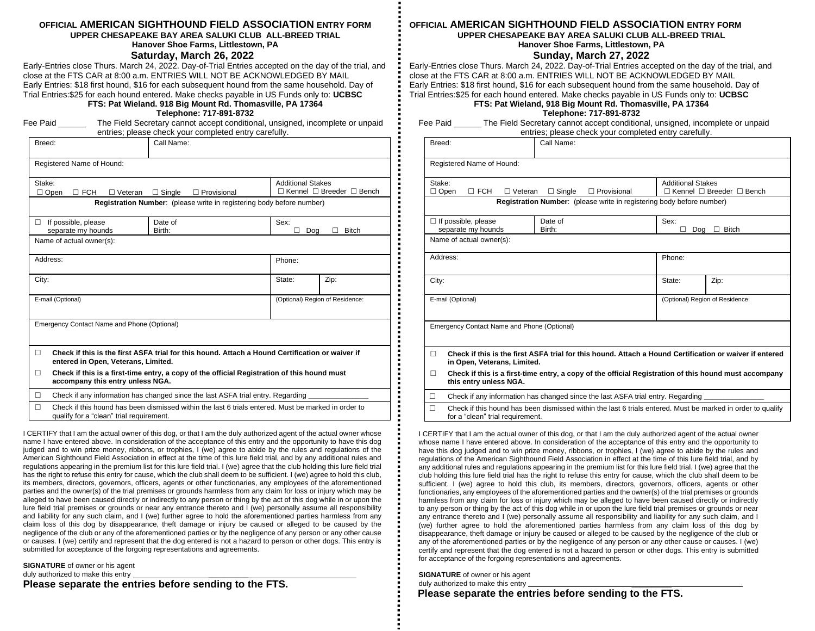#### **OFFICIAL AMERICAN SIGHTHOUND FIELD ASSOCIATION ENTRY FORM UPPER CHESAPEAKE BAY AREA SALUKI CLUB ALL-BREED TRIAL Hanover Shoe Farms, Littlestown, PA**

### **Saturday, March 26, 2022**

Early-Entries close Thurs. March 24, 2022. Day-of-Trial Entries accepted on the day of the trial, and close at the FTS CAR at 8:00 a.m. ENTRIES WILL NOT BE ACKNOWLEDGED BY MAIL Early Entries: \$18 first hound, \$16 for each subsequent hound from the same household. Day of Trial Entries:\$25 for each hound entered. Make checks payable in US Funds only to: **UCBSC**

**FTS: Pat Wieland. 918 Big Mount Rd. Thomasville, PA 17364**

**Telephone: 717-891-8732** Fee Paid **The Field Secretary cannot accept conditional, unsigned, incomplete or unpaid** 

|        |                                                                                                                                                 |                    | entries; please check your completed entry carefully.                 |                                           |  |  |  |
|--------|-------------------------------------------------------------------------------------------------------------------------------------------------|--------------------|-----------------------------------------------------------------------|-------------------------------------------|--|--|--|
| Breed: |                                                                                                                                                 | Call Name:         |                                                                       |                                           |  |  |  |
|        | Registered Name of Hound:                                                                                                                       |                    |                                                                       |                                           |  |  |  |
| Stake: | $\Box$ FCH<br>$\Box$ Open<br>$\Box$ Veteran                                                                                                     | $\Box$ Provisional | <b>Additional Stakes</b>                                              | $\Box$ Kennel $\Box$ Breeder $\Box$ Bench |  |  |  |
|        |                                                                                                                                                 |                    | Registration Number: (please write in registering body before number) |                                           |  |  |  |
| п      | If possible, please<br>separate my hounds                                                                                                       |                    | Sex:<br>Doa                                                           | <b>Bitch</b>                              |  |  |  |
|        | Name of actual owner(s):                                                                                                                        |                    |                                                                       |                                           |  |  |  |
|        | Address:                                                                                                                                        |                    | Phone:                                                                |                                           |  |  |  |
| City:  |                                                                                                                                                 |                    | State:                                                                | Zip:                                      |  |  |  |
|        | E-mail (Optional)                                                                                                                               |                    | (Optional) Region of Residence:                                       |                                           |  |  |  |
|        | Emergency Contact Name and Phone (Optional)                                                                                                     |                    |                                                                       |                                           |  |  |  |
|        |                                                                                                                                                 |                    |                                                                       |                                           |  |  |  |
| п      | Check if this is the first ASFA trial for this hound. Attach a Hound Certification or waiver if<br>entered in Open, Veterans, Limited.          |                    |                                                                       |                                           |  |  |  |
| п      | Check if this is a first-time entry, a copy of the official Registration of this hound must<br>accompany this entry unless NGA.                 |                    |                                                                       |                                           |  |  |  |
| п      | Check if any information has changed since the last ASFA trial entry. Regarding                                                                 |                    |                                                                       |                                           |  |  |  |
| П      | Check if this hound has been dismissed within the last 6 trials entered. Must be marked in order to<br>qualify for a "clean" trial requirement. |                    |                                                                       |                                           |  |  |  |

I CERTIFY that I am the actual owner of this dog, or that I am the duly authorized agent of the actual owner whose name I have entered above. In consideration of the acceptance of this entry and the opportunity to have this dog judged and to win prize money, ribbons, or trophies, I (we) agree to abide by the rules and regulations of the American Sighthound Field Association in effect at the time of this lure field trial, and by any additional rules and regulations appearing in the premium list for this lure field trial. I (we) agree that the club holding this lure field trial has the right to refuse this entry for cause, which the club shall deem to be sufficient. I (we) agree to hold this club, its members, directors, governors, officers, agents or other functionaries, any employees of the aforementioned parties and the owner(s) of the trial premises or grounds harmless from any claim for loss or injury which may be alleged to have been caused directly or indirectly to any person or thing by the act of this dog while in or upon the lure field trial premises or grounds or near any entrance thereto and I (we) personally assume all responsibility and liability for any such claim, and I (we) further agree to hold the aforementioned parties harmless from any claim loss of this dog by disappearance, theft damage or injury be caused or alleged to be caused by the negligence of the club or any of the aforementioned parties or by the negligence of any person or any other cause or causes. I (we) certify and represent that the dog entered is not a hazard to person or other dogs. This entry is submitted for acceptance of the forgoing representations and agreements.

**SIGNATURE** of owner or his agent duly authorized to make this entry

**Please separate the entries before sending to the FTS.**

### **OFFICIAL AMERICAN SIGHTHOUND FIELD ASSOCIATION ENTRY FORM UPPER CHESAPEAKE BAY AREA SALUKI CLUB ALL-BREED TRIAL Hanover Shoe Farms, Littlestown, PA**

### **Sunday, March 27, 2022**

Early-Entries close Thurs. March 24, 2022. Day-of-Trial Entries accepted on the day of the trial, and close at the FTS CAR at 8:00 a.m. ENTRIES WILL NOT BE ACKNOWLEDGED BY MAIL Early Entries: \$18 first hound, \$16 for each subsequent hound from the same household. Day of Trial Entries:\$25 for each hound entered. Make checks payable in US Funds only to: **UCBSC**

**FTS: Pat Wieland, 918 Big Mount Rd. Thomasville, PA 17364 Telephone: 717-891-8732**

Fee Paid \_\_\_\_\_\_ The Field Secretary cannot accept conditional, unsigned, incomplete or unpaid entries; please check your completed entry carefully.

| Breed:                                      |                                                                                                                                        | Call Name:                                                            |                                 |              |  |  |
|---------------------------------------------|----------------------------------------------------------------------------------------------------------------------------------------|-----------------------------------------------------------------------|---------------------------------|--------------|--|--|
|                                             | Registered Name of Hound:                                                                                                              |                                                                       |                                 |              |  |  |
| Stake:<br>$\Box$ Open                       | $\Box$ FCH<br>$\Box$ Veteran                                                                                                           | <b>Additional Stakes</b><br>$\Box$ Kennel $\Box$ Breeder $\Box$ Bench |                                 |              |  |  |
|                                             |                                                                                                                                        | Registration Number: (please write in registering body before number) |                                 |              |  |  |
|                                             | $\Box$ If possible, please<br>separate my hounds                                                                                       | Date of<br>Birth:                                                     | Sex:<br>Dog<br>П                | $\Box$ Bitch |  |  |
|                                             | Name of actual owner(s):                                                                                                               |                                                                       |                                 |              |  |  |
| Address:                                    |                                                                                                                                        | Phone:                                                                |                                 |              |  |  |
| City:                                       |                                                                                                                                        |                                                                       | State:                          | Zip:         |  |  |
|                                             | E-mail (Optional)                                                                                                                      |                                                                       | (Optional) Region of Residence: |              |  |  |
| Emergency Contact Name and Phone (Optional) |                                                                                                                                        |                                                                       |                                 |              |  |  |
| П                                           | Check if this is the first ASFA trial for this hound. Attach a Hound Certification or waiver if entered<br>in Open, Veterans, Limited. |                                                                       |                                 |              |  |  |
| п                                           | Check if this is a first-time entry, a copy of the official Registration of this hound must accompany<br>this entry unless NGA.        |                                                                       |                                 |              |  |  |
| П                                           | Check if any information has changed since the last ASFA trial entry. Regarding                                                        |                                                                       |                                 |              |  |  |
| п                                           | Chack if this hound has hean dismissed within the last 6 trials entered. Must he marked in order to qualify                            |                                                                       |                                 |              |  |  |

heck if this hound has been dismissed within the for a "clean" trial requirement.

I CERTIFY that I am the actual owner of this dog, or that I am the duly authorized agent of the actual owner whose name I have entered above. In consideration of the acceptance of this entry and the opportunity to have this dog judged and to win prize money, ribbons, or trophies, I (we) agree to abide by the rules and regulations of the American Sighthound Field Association in effect at the time of this lure field trial, and by any additional rules and regulations appearing in the premium list for this lure field trial. I (we) agree that the club holding this lure field trial has the right to refuse this entry for cause, which the club shall deem to be sufficient. I (we) agree to hold this club, its members, directors, governors, officers, agents or other functionaries, any employees of the aforementioned parties and the owner(s) of the trial premises or grounds harmless from any claim for loss or injury which may be alleged to have been caused directly or indirectly to any person or thing by the act of this dog while in or upon the lure field trial premises or grounds or near any entrance thereto and I (we) personally assume all responsibility and liability for any such claim, and I (we) further agree to hold the aforementioned parties harmless from any claim loss of this dog by disappearance, theft damage or injury be caused or alleged to be caused by the negligence of the club or any of the aforementioned parties or by the negligence of any person or any other cause or causes. I (we) certify and represent that the dog entered is not a hazard to person or other dogs. This entry is submitted for acceptance of the forgoing representations and agreements.

**SIGNATURE** of owner or his agent duly authorized to make this entry

 **Please separate the entries before sending to the FTS.**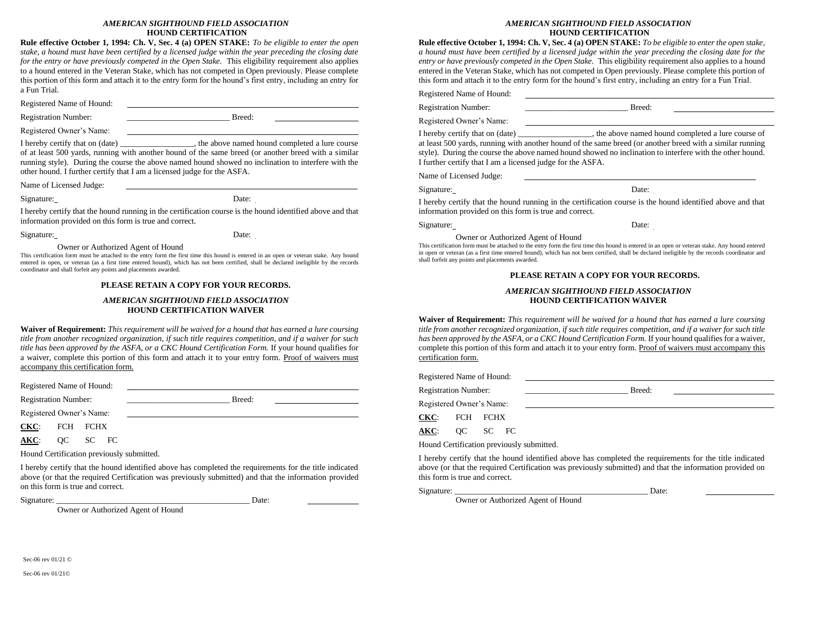#### *AMERICAN SIGHTHOUND FIELD ASSOCIATION* **HOUND CERTIFICATION**

**Rule effective October 1, 1994: Ch. V, Sec. 4 (a) OPEN STAKE:** *To be eligible to enter the open stake, a hound must have been certified by a licensed judge within the year preceding the closing date for the entry or have previously competed in the Open Stake.* This eligibility requirement also applies to a hound entered in the Veteran Stake, which has not competed in Open previously. Please complete this portion of this form and attach it to the entry form for the hound's first entry, including an entry for a Fun Trial.

Registered Name of Hound:

Registration Number: Breed:

Registered Owner's Name:

I hereby certify that on (date) \_\_\_\_\_\_\_\_\_\_\_\_\_\_\_, the above named hound completed a lure course of at least 500 yards, running with another hound of the same breed (or another breed with a similar running style). During the course the above named hound showed no inclination to interfere with the other hound. I further certify that I am a licensed judge for the ASFA.

Name of Licensed Judge:

Signature: Date:

I hereby certify that the hound running in the certification course is the hound identified above and that information provided on this form is true and correct.

Signature: Date:

#### Owner or Authorized Agent of Hound

This certification form must be attached to the entry form the first time this hound is entered in an open or veteran stake. Any hound entered in open, or veteran (as a first time entered hound), which has not been certified, shall be declared ineligible by the records coordinator and shall forfeit any points and placements awarded.

#### **PLEASE RETAIN A COPY FOR YOUR RECORDS.**

#### *AMERICAN SIGHTHOUND FIELD ASSOCIATION* **HOUND CERTIFICATION WAIVER**

**Waiver of Requirement:** *This requirement will be waived for a hound that has earned a lure coursing title from another recognized organization, if such title requires competition, and if a waiver for such title has been approved by the ASFA, or a CKC Hound Certification Form.* If your hound qualifies for a waiver, complete this portion of this form and attach it to your entry form. Proof of waivers must accompany this certification form.

Registered Name of Hound:

Registration Number: \_\_\_\_\_\_\_\_\_\_\_\_\_\_\_\_\_\_\_\_\_\_\_\_\_ Breed:

Registered Owner's Name:

**CKC**: FCH FCHX

**AKC**: QC SC FC

Hound Certification previously submitted.

Owner or Authorized Agent of Hound

I hereby certify that the hound identified above has completed the requirements for the title indicated above (or that the required Certification was previously submitted) and that the information provided on this form is true and correct.

Signature:  $\Box$ 

#### *AMERICAN SIGHTHOUND FIELD ASSOCIATION* **HOUND CERTIFICATION**

**Rule effective October 1, 1994: Ch. V, Sec. 4 (a) OPEN STAKE:** *To be eligible to enter the open stake, a hound must have been certified by a licensed judge within the year preceding the closing date for the entry or have previously competed in the Open Stake.* This eligibility requirement also applies to a hound entered in the Veteran Stake, which has not competed in Open previously. Please complete this portion of this form and attach it to the entry form for the hound's first entry, including an entry for a Fun Trial.

Registered Name of Hound:

Registration Number: Breed:

Registered Owner's Name:

I hereby certify that on (date) \_\_\_\_\_\_\_\_\_\_\_\_\_\_\_\_\_\_, the above named hound completed a lure course of at least 500 yards, running with another hound of the same breed (or another breed with a similar running style). During the course the above named hound showed no inclination to interfere with the other hound. I further certify that I am a licensed judge for the ASFA.

Name of Licensed Judge:

Signature: Date:

I hereby certify that the hound running in the certification course is the hound identified above and that information provided on this form is true and correct.

Signature: Date:

Owner or Authorized Agent of Hound

This certification form must be attached to the entry form the first time this hound is entered in an open or veteran stake. Any hound entered in open or veteran (as a first time entered hound), which has not been certified, shall be declared ineligible by the records coordinator and shall forfeit any points and placements awarded.

#### **PLEASE RETAIN A COPY FOR YOUR RECORDS.**

#### *AMERICAN SIGHTHOUND FIELD ASSOCIATION* **HOUND CERTIFICATION WAIVER**

**Waiver of Requirement:** *This requirement will be waived for a hound that has earned a lure coursing title from another recognized organization, if such title requires competition, and if a waiver for such title has been approved by the ASFA, or a CKC Hound Certification Form.* If your hound qualifies for a waiver, complete this portion of this form and attach it to your entry form. Proof of waivers must accompany this certification form.

Registered Name of Hound:

Registration Number: \_\_\_\_\_\_\_\_\_\_\_\_\_\_\_\_\_\_\_\_\_\_\_\_\_ Breed:

Registered Owner's Name:

**CKC**: FCH FCHX

**AKC**: QC SC FC

Hound Certification previously submitted.

I hereby certify that the hound identified above has completed the requirements for the title indicated above (or that the required Certification was previously submitted) and that the information provided on this form is true and correct.

Signature:  $\Box$ 

Owner or Authorized Agent of Hound

Sec-06 rev 01/21 ©

Sec-06 rev 01/21©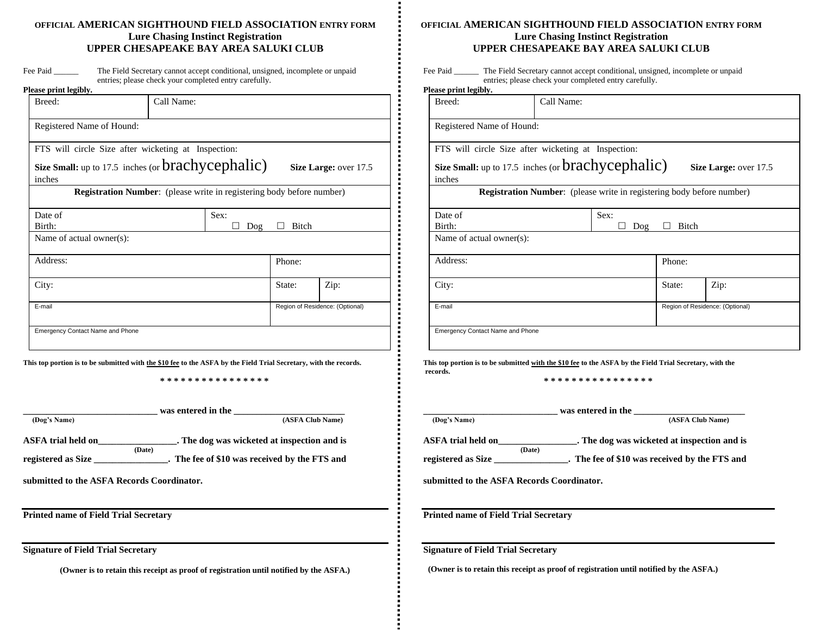## **OFFICIAL AMERICAN SIGHTHOUND FIELD ASSOCIATION ENTRY FORM Lure Chasing Instinct Registration UPPER CHESAPEAKE BAY AREA SALUKI CLUB**

| Fee Paid | The Field Secretary cannot accept conditional, unsigned, incomplete or unpaid |
|----------|-------------------------------------------------------------------------------|
|          | entries; please check your completed entry carefully.                         |

| Please print legibly.                                                        |      |  |        |                                 |  |  |  |
|------------------------------------------------------------------------------|------|--|--------|---------------------------------|--|--|--|
| Breed:<br>Call Name:                                                         |      |  |        |                                 |  |  |  |
| Registered Name of Hound:                                                    |      |  |        |                                 |  |  |  |
| FTS will circle Size after wicketing at Inspection:                          |      |  |        |                                 |  |  |  |
| Size Small: up to 17.5 inches (or brachycephalic)                            |      |  |        | Size Large: over 17.5           |  |  |  |
| inches                                                                       |      |  |        |                                 |  |  |  |
| <b>Registration Number:</b> (please write in registering body before number) |      |  |        |                                 |  |  |  |
| Date of                                                                      | Sex: |  |        |                                 |  |  |  |
| Birth:<br>Bitch<br>Dog                                                       |      |  |        |                                 |  |  |  |
| Name of actual owner(s):                                                     |      |  |        |                                 |  |  |  |
| Address:                                                                     |      |  | Phone: |                                 |  |  |  |
| City:                                                                        |      |  | State: | Zip:                            |  |  |  |
| E-mail                                                                       |      |  |        | Region of Residence: (Optional) |  |  |  |
| <b>Emergency Contact Name and Phone</b>                                      |      |  |        |                                 |  |  |  |

**This top portion is to be submitted with the \$10 fee to the ASFA by the Field Trial Secretary, with the records.**

**\* \* \* \* \* \* \* \* \* \* \* \* \* \* \* \***

|                           |        | was entered in the                            |
|---------------------------|--------|-----------------------------------------------|
| (Dog's Name)              |        | (ASFA Club Name)                              |
| <b>ASFA</b> trial held on |        | . The dog was wicketed at inspection and is   |
|                           | (Date) |                                               |
| registered as Size        |        | . The fee of \$10 was received by the FTS and |

**submitted to the ASFA Records Coordinator.** 

**Printed name of Field Trial Secretary**

**Signature of Field Trial Secretary**

**(Owner is to retain this receipt as proof of registration until notified by the ASFA.)**

### **OFFICIAL AMERICAN SIGHTHOUND FIELD ASSOCIATION ENTRY FORM Lure Chasing Instinct Registration UPPER CHESAPEAKE BAY AREA SALUKI CLUB**

| Fee Paid | The Field Secretary cannot accept conditional, unsigned, incomplete or unpaid |
|----------|-------------------------------------------------------------------------------|
|          | entries; please check your completed entry carefully.                         |

| Size Large: over 17.5                                                        |  |  |  |
|------------------------------------------------------------------------------|--|--|--|
|                                                                              |  |  |  |
| <b>Registration Number:</b> (please write in registering body before number) |  |  |  |
|                                                                              |  |  |  |
| Bitch<br>Dog                                                                 |  |  |  |
|                                                                              |  |  |  |
| Phone:                                                                       |  |  |  |
| Zip:                                                                         |  |  |  |
| Region of Residence: (Optional)                                              |  |  |  |
|                                                                              |  |  |  |

**This top portion is to be submitted with the \$10 fee to the ASFA by the Field Trial Secretary, with the records.**

**\* \* \* \* \* \* \* \* \* \* \* \* \* \* \* \***

|                    |        | was entered in the                            |
|--------------------|--------|-----------------------------------------------|
| (Dog's Name)       |        | (ASFA Club Name)                              |
| ASFA trial held on |        | . The dog was wicketed at inspection and is   |
|                    | (Date) |                                               |
| registered as Size |        | . The fee of \$10 was received by the FTS and |

**submitted to the ASFA Records Coordinator.** 

**Printed name of Field Trial Secretary**

**Signature of Field Trial Secretary**

 **(Owner is to retain this receipt as proof of registration until notified by the ASFA.)**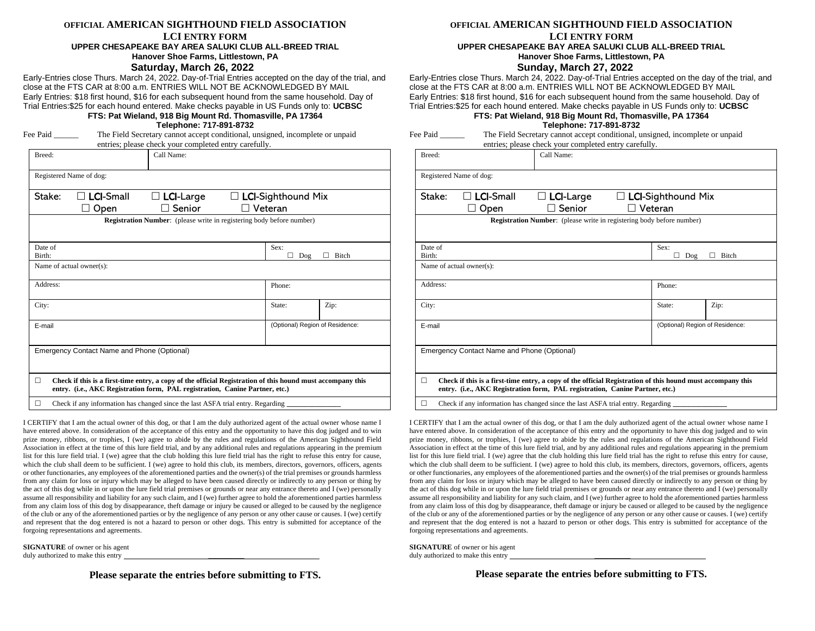#### **OFFICIAL AMERICAN SIGHTHOUND FIELD ASSOCIATION**

#### **LCI ENTRY FORM UPPER CHESAPEAKE BAY AREA SALUKI CLUB ALL-BREED TRIAL Hanover Shoe Farms, Littlestown, PA**

#### **Saturday, March 26, 2022**

Early-Entries close Thurs. March 24, 2022. Day-of-Trial Entries accepted on the day of the trial, and close at the FTS CAR at 8:00 a.m. ENTRIES WILL NOT BE ACKNOWLEDGED BY MAIL Early Entries: \$18 first hound, \$16 for each subsequent hound from the same household. Day of Trial Entries:\$25 for each hound entered. Make checks payable in US Funds only to: **UCBSC**

#### **FTS: Pat Wieland, 918 Big Mount Rd. Thomasville, PA 17364 Telephone: 717-891-8732**

| Fee Paid |  |
|----------|--|
|----------|--|

The Field Secretary cannot accept conditional, unsigned, incomplete or unpaid entries; please check your completed entry carefully. Breed: Call Name:

| Stake:   | $\Box$ LCI-Small                            | $\Box$ LCI-Large | $\Box$ LCI-Sighthound Mix                                                    |                                 |
|----------|---------------------------------------------|------------------|------------------------------------------------------------------------------|---------------------------------|
|          | Open                                        | Senior           | $\Box$ Veteran                                                               |                                 |
|          |                                             |                  | <b>Registration Number:</b> (please write in registering body before number) |                                 |
|          |                                             |                  |                                                                              |                                 |
| Date of  |                                             |                  | Sex:                                                                         |                                 |
| Birth:   |                                             |                  | Dog                                                                          | Bitch                           |
|          | Name of actual owner(s):                    |                  |                                                                              |                                 |
| Address: |                                             |                  | Phone:                                                                       |                                 |
| City:    |                                             |                  | State:                                                                       | Zip:                            |
|          |                                             |                  |                                                                              | (Optional) Region of Residence: |
| E-mail   |                                             |                  |                                                                              |                                 |
|          | Emergency Contact Name and Phone (Optional) |                  |                                                                              |                                 |
|          |                                             |                  |                                                                              |                                 |

 $\Box$  Check if any information has changed since the last ASFA trial entry. Regarding

I CERTIFY that I am the actual owner of this dog, or that I am the duly authorized agent of the actual owner whose name I have entered above. In consideration of the acceptance of this entry and the opportunity to have this dog judged and to win prize money, ribbons, or trophies, I (we) agree to abide by the rules and regulations of the American Sighthound Field Association in effect at the time of this lure field trial, and by any additional rules and regulations appearing in the premium list for this lure field trial. I (we) agree that the club holding this lure field trial has the right to refuse this entry for cause, which the club shall deem to be sufficient. I (we) agree to hold this club, its members, directors, governors, officers, agents or other functionaries, any employees of the aforementioned parties and the owner(s) of the trial premises or grounds harmless from any claim for loss or injury which may be alleged to have been caused directly or indirectly to any person or thing by the act of this dog while in or upon the lure field trial premises or grounds or near any entrance thereto and I (we) personally assume all responsibility and liability for any such claim, and I (we) further agree to hold the aforementioned parties harmless from any claim loss of this dog by disappearance, theft damage or injury be caused or alleged to be caused by the negligence of the club or any of the aforementioned parties or by the negligence of any person or any other cause or causes. I (we) certify and represent that the dog entered is not a hazard to person or other dogs. This entry is submitted for acceptance of the forgoing representations and agreements.

**SIGNATURE** of owner or his agent duly authorized to make this entry

**Please separate the entries before submitting to FTS.**

### **OFFICIAL AMERICAN SIGHTHOUND FIELD ASSOCIATION**

## **LCI ENTRY FORM**

#### **UPPER CHESAPEAKE BAY AREA SALUKI CLUB ALL-BREED TRIAL Hanover Shoe Farms, Littlestown, PA**

### **Sunday, March 27, 2022**

Early-Entries close Thurs. March 24, 2022. Day-of-Trial Entries accepted on the day of the trial, and close at the FTS CAR at 8:00 a.m. ENTRIES WILL NOT BE ACKNOWLEDGED BY MAIL Early Entries: \$18 first hound, \$16 for each subsequent hound from the same household. Day of Trial Entries:\$25 for each hound entered. Make checks payable in US Funds only to: **UCBSC**

#### **FTS: Pat Wieland, 918 Big Mount Rd, Thomasville, PA 17364 Telephone: 717-891-8732**

| Fee Paid | The Field Secretary cannot accept conditional, unsigned, incomplete or unpaid |  |  |  |
|----------|-------------------------------------------------------------------------------|--|--|--|
|          | entries; please check your completed entry carefully.                         |  |  |  |

| Breed:            |                                                                                                                                                                                            | Call Name:                                                                   |                                                  |       |
|-------------------|--------------------------------------------------------------------------------------------------------------------------------------------------------------------------------------------|------------------------------------------------------------------------------|--------------------------------------------------|-------|
|                   | Registered Name of dog:                                                                                                                                                                    |                                                                              |                                                  |       |
| Stake:            | <b>LCI-Small</b><br>Open                                                                                                                                                                   | $\Box$ LCI-Large<br>Senior                                                   | $\Box$ LCI-Sighthound Mix<br>$\sqsupset$ Veteran |       |
|                   |                                                                                                                                                                                            | <b>Registration Number:</b> (please write in registering body before number) |                                                  |       |
|                   |                                                                                                                                                                                            |                                                                              |                                                  |       |
| Date of<br>Birth: |                                                                                                                                                                                            |                                                                              | Sex:<br>Dog<br>ΙI                                | Bitch |
|                   | Name of actual owner(s):                                                                                                                                                                   |                                                                              |                                                  |       |
| Address:          |                                                                                                                                                                                            |                                                                              | Phone:                                           |       |
|                   |                                                                                                                                                                                            |                                                                              |                                                  |       |
| City:             |                                                                                                                                                                                            |                                                                              | State:                                           | Zip:  |
| E-mail            |                                                                                                                                                                                            |                                                                              | (Optional) Region of Residence:                  |       |
|                   |                                                                                                                                                                                            |                                                                              |                                                  |       |
|                   | Emergency Contact Name and Phone (Optional)                                                                                                                                                |                                                                              |                                                  |       |
|                   |                                                                                                                                                                                            |                                                                              |                                                  |       |
| п                 | Check if this is a first-time entry, a copy of the official Registration of this hound must accompany this<br>entry. (i.e., AKC Registration form, PAL registration, Canine Partner, etc.) |                                                                              |                                                  |       |
| П                 | Check if any information has changed since the last ASFA trial entry. Regarding                                                                                                            |                                                                              |                                                  |       |

I CERTIFY that I am the actual owner of this dog, or that I am the duly authorized agent of the actual owner whose name I have entered above. In consideration of the acceptance of this entry and the opportunity to have this dog judged and to win prize money, ribbons, or trophies, I (we) agree to abide by the rules and regulations of the American Sighthound Field Association in effect at the time of this lure field trial, and by any additional rules and regulations appearing in the premium list for this lure field trial. I (we) agree that the club holding this lure field trial has the right to refuse this entry for cause, which the club shall deem to be sufficient. I (we) agree to hold this club, its members, directors, governors, officers, agents or other functionaries, any employees of the aforementioned parties and the owner(s) of the trial premises or grounds harmless from any claim for loss or injury which may be alleged to have been caused directly or indirectly to any person or thing by the act of this dog while in or upon the lure field trial premises or grounds or near any entrance thereto and I (we) personally assume all responsibility and liability for any such claim, and I (we) further agree to hold the aforementioned parties harmless from any claim loss of this dog by disappearance, theft damage or injury be caused or alleged to be caused by the negligence of the club or any of the aforementioned parties or by the negligence of any person or any other cause or causes. I (we) certify and represent that the dog entered is not a hazard to person or other dogs. This entry is submitted for acceptance of the forgoing representations and agreements.

**SIGNATURE** of owner or his agent duly authorized to make this entry

**Please separate the entries before submitting to FTS.**